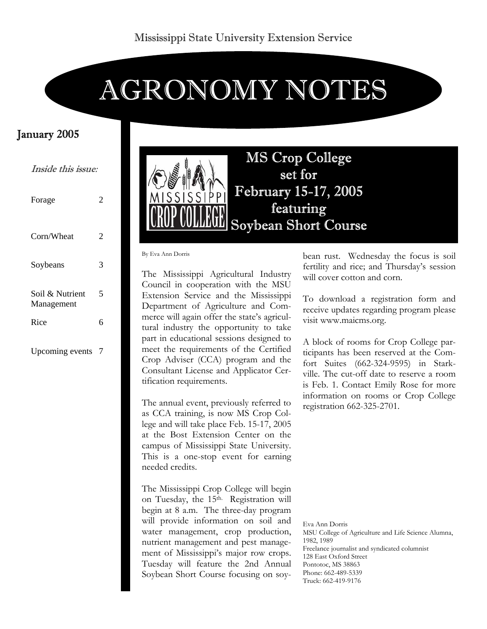# AGRONOMY NOTES

## January 2005

Inside this issue:

| Forage                        | 2 |
|-------------------------------|---|
| Corn/Wheat                    | 2 |
| Soybeans                      | 3 |
| Soil & Nutrient<br>Management | 5 |
| Rice                          | 6 |
| Upcoming events               | 7 |



By Eva Ann Dorris

The Mississippi Agricultural Industry Council in cooperation with the MSU Extension Service and the Mississippi Department of Agriculture and Commerce will again offer the state's agricultural industry the opportunity to take part in educational sessions designed to meet the requirements of the Certified Crop Adviser (CCA) program and the Consultant License and Applicator Certification requirements.

The annual event, previously referred to as CCA training, is now MS Crop College and will take place Feb. 15-17, 2005 at the Bost Extension Center on the campus of Mississippi State University. This is a one-stop event for earning needed credits.

The Mississippi Crop College will begin on Tuesday, the 15th. Registration will begin at 8 a.m. The three-day program will provide information on soil and water management, crop production, nutrient management and pest management of Mississippi's major row crops. Tuesday will feature the 2nd Annual Soybean Short Course focusing on soybean rust. Wednesday the focus is soil fertility and rice; and Thursday's session will cover cotton and corn.

To download a registration form and receive updates regarding program please visit www.maicms.org.

A block of rooms for Crop College participants has been reserved at the Comfort Suites (662-324-9595) in Starkville. The cut-off date to reserve a room is Feb. 1. Contact Emily Rose for more information on rooms or Crop College registration 662-325-2701.

Eva Ann Dorris MSU College of Agriculture and Life Science Alumna, 1982, 1989 Freelance journalist and syndicated columnist 128 East Oxford Street Pontotoc, MS 38863 Phone: 662-489-5339 Truck: 662-419-9176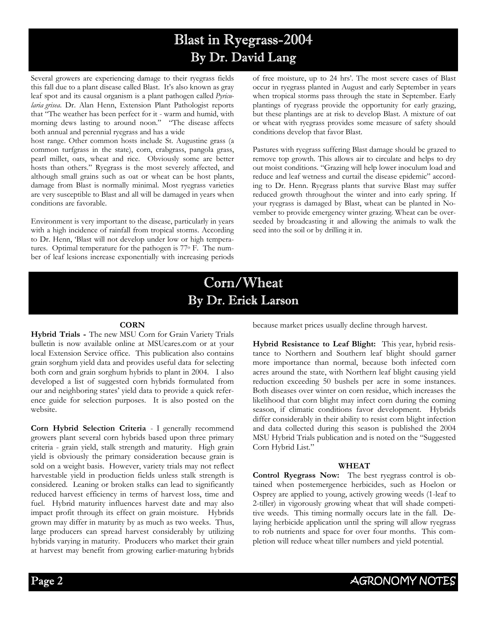# Blast in Ryegrass-2004 By Dr. David Lang

Several growers are experiencing damage to their ryegrass fields this fall due to a plant disease called Blast. It's also known as gray leaf spot and its causal organism is a plant pathogen called *Pyricularia grisea*. Dr. Alan Henn, Extension Plant Pathologist reports that "The weather has been perfect for it - warm and humid, with morning dews lasting to around noon." "The disease affects both annual and perennial ryegrass and has a wide

host range. Other common hosts include St. Augustine grass (a common turfgrass in the state), corn, crabgrass, pangola grass, pearl millet, oats, wheat and rice. Obviously some are better hosts than others." Ryegrass is the most severely affected, and although small grains such as oat or wheat can be host plants, damage from Blast is normally minimal. Most ryegrass varieties are very susceptible to Blast and all will be damaged in years when conditions are favorable.

Environment is very important to the disease, particularly in years with a high incidence of rainfall from tropical storms. According to Dr. Henn, 'Blast will not develop under low or high temperatures. Optimal temperature for the pathogen is 77o F. The number of leaf lesions increase exponentially with increasing periods

of free moisture, up to 24 hrs'. The most severe cases of Blast occur in ryegrass planted in August and early September in years when tropical storms pass through the state in September. Early plantings of ryegrass provide the opportunity for early grazing, but these plantings are at risk to develop Blast. A mixture of oat or wheat with ryegrass provides some measure of safety should conditions develop that favor Blast.

Pastures with ryegrass suffering Blast damage should be grazed to remove top growth. This allows air to circulate and helps to dry out moist conditions. "Grazing will help lower inoculum load and reduce and leaf wetness and curtail the disease epidemic" according to Dr. Henn. Ryegrass plants that survive Blast may suffer reduced growth throughout the winter and into early spring. If your ryegrass is damaged by Blast, wheat can be planted in November to provide emergency winter grazing. Wheat can be overseeded by broadcasting it and allowing the animals to walk the seed into the soil or by drilling it in.

## Corn/Wheat By Dr. Erick Larson

#### **CORN**

**Hybrid Trials -** The new MSU Corn for Grain Variety Trials bulletin is now available online at MSUcares.com or at your local Extension Service office. This publication also contains grain sorghum yield data and provides useful data for selecting both corn and grain sorghum hybrids to plant in 2004. I also developed a list of suggested corn hybrids formulated from our and neighboring states' yield data to provide a quick reference guide for selection purposes. It is also posted on the website.

**Corn Hybrid Selection Criteria** - I generally recommend growers plant several corn hybrids based upon three primary criteria - grain yield, stalk strength and maturity. High grain yield is obviously the primary consideration because grain is sold on a weight basis. However, variety trials may not reflect harvestable yield in production fields unless stalk strength is considered. Leaning or broken stalks can lead to significantly reduced harvest efficiency in terms of harvest loss, time and fuel. Hybrid maturity influences harvest date and may also impact profit through its effect on grain moisture. Hybrids grown may differ in maturity by as much as two weeks. Thus, large producers can spread harvest considerably by utilizing hybrids varying in maturity. Producers who market their grain at harvest may benefit from growing earlier-maturing hybrids

because market prices usually decline through harvest.

**Hybrid Resistance to Leaf Blight:** This year, hybrid resistance to Northern and Southern leaf blight should garner more importance than normal, because both infected corn acres around the state, with Northern leaf blight causing yield reduction exceeding 50 bushels per acre in some instances. Both diseases over winter on corn residue, which increases the likelihood that corn blight may infect corn during the coming season, if climatic conditions favor development. Hybrids differ considerably in their ability to resist corn blight infection and data collected during this season is published the 2004 MSU Hybrid Trials publication and is noted on the "Suggested Corn Hybrid List."

#### **WHEAT**

**Control Ryegrass Now:** The best ryegrass control is obtained when postemergence herbicides, such as Hoelon or Osprey are applied to young, actively growing weeds (1-leaf to 2-tiller) in vigorously growing wheat that will shade competitive weeds. This timing normally occurs late in the fall. Delaying herbicide application until the spring will allow ryegrass to rob nutrients and space for over four months. This completion will reduce wheat tiller numbers and yield potential.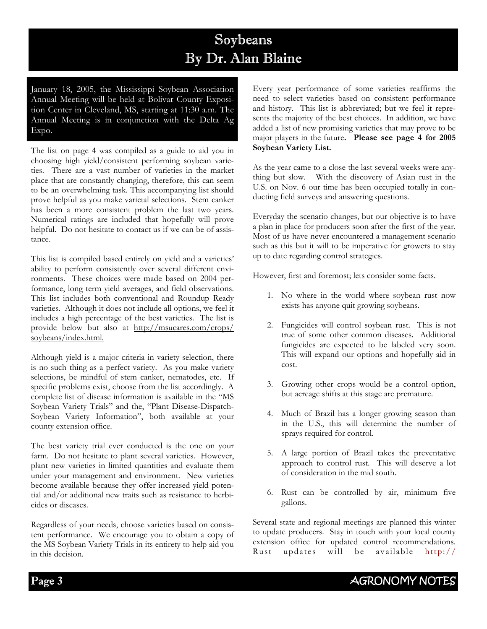# Soybeans By Dr. Alan Blaine

January 18, 2005, the Mississippi Soybean Association Annual Meeting will be held at Bolivar County Exposition Center in Cleveland, MS, starting at 11:30 a.m. The Annual Meeting is in conjunction with the Delta Ag Expo.

The list on page 4 was compiled as a guide to aid you in choosing high yield/consistent performing soybean varieties. There are a vast number of varieties in the market place that are constantly changing, therefore, this can seem to be an overwhelming task. This accompanying list should prove helpful as you make varietal selections. Stem canker has been a more consistent problem the last two years. Numerical ratings are included that hopefully will prove helpful. Do not hesitate to contact us if we can be of assistance.

This list is compiled based entirely on yield and a varieties' ability to perform consistently over several different environments. These choices were made based on 2004 performance, long term yield averages, and field observations. This list includes both conventional and Roundup Ready varieties. Although it does not include all options, we feel it includes a high percentage of the best varieties. The list is provide below but also at http://msucares.com/crops/ soybeans/index.html.

Although yield is a major criteria in variety selection, there is no such thing as a perfect variety. As you make variety selections, be mindful of stem canker, nematodes, etc. If specific problems exist, choose from the list accordingly. A complete list of disease information is available in the "MS Soybean Variety Trials" and the, "Plant Disease-Dispatch-Soybean Variety Information", both available at your county extension office.

The best variety trial ever conducted is the one on your farm. Do not hesitate to plant several varieties. However, plant new varieties in limited quantities and evaluate them under your management and environment. New varieties become available because they offer increased yield potential and/or additional new traits such as resistance to herbicides or diseases.

Regardless of your needs, choose varieties based on consistent performance. We encourage you to obtain a copy of the MS Soybean Variety Trials in its entirety to help aid you in this decision.

Every year performance of some varieties reaffirms the need to select varieties based on consistent performance and history. This list is abbreviated; but we feel it represents the majority of the best choices. In addition, we have added a list of new promising varieties that may prove to be major players in the future**. Please see page 4 for 2005 Soybean Variety List.** 

As the year came to a close the last several weeks were anything but slow. With the discovery of Asian rust in the U.S. on Nov. 6 our time has been occupied totally in conducting field surveys and answering questions.

Everyday the scenario changes, but our objective is to have a plan in place for producers soon after the first of the year. Most of us have never encountered a management scenario such as this but it will to be imperative for growers to stay up to date regarding control strategies.

However, first and foremost; lets consider some facts.

- 1. No where in the world where soybean rust now exists has anyone quit growing soybeans.
- 2. Fungicides will control soybean rust. This is not true of some other common diseases. Additional fungicides are expected to be labeled very soon. This will expand our options and hopefully aid in cost.
- 3. Growing other crops would be a control option, but acreage shifts at this stage are premature.
- 4. Much of Brazil has a longer growing season than in the U.S., this will determine the number of sprays required for control.
- 5. A large portion of Brazil takes the preventative approach to control rust. This will deserve a lot of consideration in the mid south.
- 6. Rust can be controlled by air, minimum five gallons.

Several state and regional meetings are planned this winter to update producers. Stay in touch with your local county extension office for updated control recommendations. Rust updates will be available http://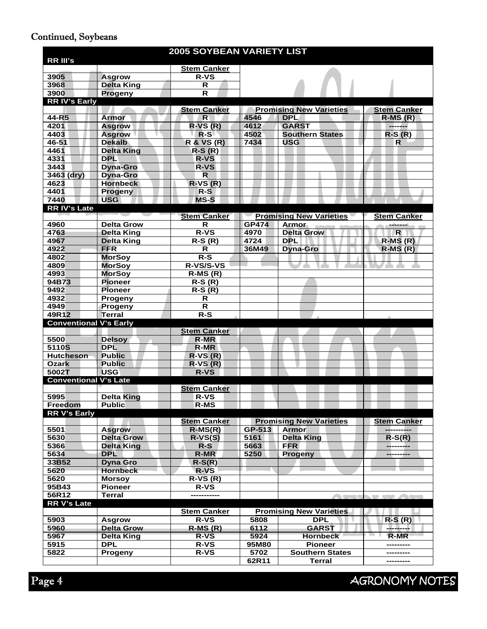## Continued, Soybeans

|                               |                   | <b>2005 SOYBEAN VARIETY LIST</b> |              |                                |                    |  |  |
|-------------------------------|-------------------|----------------------------------|--------------|--------------------------------|--------------------|--|--|
| <b>RR III's</b>               |                   |                                  |              |                                |                    |  |  |
|                               |                   | <b>Stem Canker</b>               |              |                                |                    |  |  |
| 3905                          | <b>Asgrow</b>     | <b>R-VS</b>                      |              |                                |                    |  |  |
| 3968                          | <b>Delta King</b> | R                                |              |                                |                    |  |  |
| 3900                          | Progeny           | R                                |              |                                |                    |  |  |
| <b>RRIV's Early</b>           |                   |                                  |              |                                |                    |  |  |
|                               |                   | <b>Stem Canker</b>               |              | <b>Promising New Varieties</b> | <b>Stem Canker</b> |  |  |
| 44-R5                         | <b>Armor</b>      | $\mathsf{R}$                     | 4546         | <b>DPL</b>                     | $R-MS(R)$          |  |  |
| 4201                          | <b>Asgrow</b>     | $R-VS(R)$                        | 4612         | <b>GARST</b>                   | --------           |  |  |
| 4403                          | <b>Asgrow</b>     | $R-S$                            | 4502         | <b>Southern States</b>         | $R-S(R)$           |  |  |
| 46-51                         | <b>Dekalb</b>     | <b>R &amp; VS (R)</b>            | 7434         | <b>USG</b>                     | R                  |  |  |
| 4461                          | <b>Delta King</b> | $R-S(R)$                         |              |                                |                    |  |  |
| 4331                          | <b>DPL</b>        | <b>R-VS</b>                      |              |                                |                    |  |  |
| 3443                          | <b>Dyna-Gro</b>   | <b>R-VS</b>                      |              |                                |                    |  |  |
| 3463 (dry)                    | <b>Dyna-Gro</b>   | $\mathbf R$                      |              |                                |                    |  |  |
| 4623                          | <b>Hornbeck</b>   | $R-VS(R)$                        |              |                                |                    |  |  |
| 4401                          | Progeny           | $R-S$                            |              |                                |                    |  |  |
| 7440                          | <b>USG</b>        | <b>MS-S</b>                      |              |                                |                    |  |  |
| RR IV's Late                  |                   |                                  |              |                                |                    |  |  |
|                               |                   | <b>Stem Canker</b>               |              | <b>Promising New Varieties</b> | <b>Stem Canker</b> |  |  |
| 4960                          | <b>Delta Grow</b> | $\mathsf{R}$                     | <b>GP474</b> | <b>Armor</b>                   |                    |  |  |
| 4763                          | <b>Delta King</b> | $R-VS$                           | 4970         | <b>Delta Grow</b>              | $\mathsf{R}$       |  |  |
| 4967                          | <b>Delta King</b> | $R-S(R)$                         | 4724         | <b>DPL</b>                     | $R-MS(R)$          |  |  |
| 4922                          | <b>FFR</b>        | R                                | 36M49        | <b>Dyna-Gro</b>                | $R-MS(R)$          |  |  |
| 4802                          | <b>MorSoy</b>     | $R-S$                            |              |                                |                    |  |  |
| 4809                          | <b>MorSoy</b>     | R-VS/S-VS                        |              |                                |                    |  |  |
| 4993                          | <b>MorSoy</b>     | $R-MS(R)$                        |              |                                |                    |  |  |
| 94B73                         | <b>Pioneer</b>    | $R-S(R)$                         |              |                                |                    |  |  |
| 9492                          | <b>Pioneer</b>    | $R-S(R)$                         |              |                                |                    |  |  |
| 4932                          | Progeny           | R                                |              |                                |                    |  |  |
| 4949                          | Progeny           | R.                               |              |                                |                    |  |  |
| 49R12                         | <b>Terral</b>     | $R-S$                            |              |                                |                    |  |  |
| <b>Conventional V's Early</b> |                   |                                  |              |                                |                    |  |  |
|                               |                   | <b>Stem Canker</b>               |              |                                |                    |  |  |
| 5500                          | <b>Delsoy</b>     | R-MR                             |              |                                |                    |  |  |
| 5110S                         | <b>DPL</b>        | <b>R-MR</b>                      |              |                                |                    |  |  |
| <b>Hutcheson</b>              | <b>Public</b>     | $R-VS(R)$                        |              |                                |                    |  |  |
| <b>Ozark</b>                  | <b>Public</b>     | $R-VS(R)$                        |              |                                |                    |  |  |
| 5002T                         | <b>USG</b>        | <b>R-VS</b>                      |              |                                |                    |  |  |
| <b>Conventional V's Late</b>  |                   |                                  |              |                                |                    |  |  |
|                               |                   | <b>Stem Canker</b>               |              |                                |                    |  |  |
| 5995                          | <b>Delta King</b> | <b>R-VS</b>                      |              |                                |                    |  |  |
| Freedom                       | <b>Public</b>     | <b>R-MS</b>                      |              |                                |                    |  |  |
| <b>RR V's Early</b>           |                   |                                  |              |                                |                    |  |  |
|                               |                   | <b>Stem Canker</b>               |              | <b>Promising New Varieties</b> | <b>Stem Canker</b> |  |  |
| 5501                          | <b>Asgrow</b>     | $R-MS(R)$                        | GP-513       | <b>Armor</b>                   |                    |  |  |
| 5630                          | <b>Delta Grow</b> | $R-VS(S)$                        | 5161         | <b>Delta King</b>              | $R-S(R)$           |  |  |
| 5366                          | <b>Delta King</b> | $R-S$                            | 5663         | <b>FFR</b>                     | ---------          |  |  |
| 5634                          | <b>DPL</b>        | <b>R-MR</b>                      | 5250         | <b>Progeny</b>                 |                    |  |  |
| 33B52                         | <b>Dyna Gro</b>   | $R-S(R)$                         |              |                                |                    |  |  |
| 5620                          | <b>Hornbeck</b>   | $R-VS$                           |              |                                |                    |  |  |
| 5620                          | <b>Morsoy</b>     | $R-VS(R)$                        |              |                                |                    |  |  |
| 95B43                         | <b>Pioneer</b>    | <b>R-VS</b>                      |              |                                |                    |  |  |
| 56R12                         | <b>Terral</b>     | -----------                      |              |                                |                    |  |  |
| <b>RR V's Late</b>            |                   |                                  |              |                                |                    |  |  |
|                               |                   | <b>Stem Canker</b>               |              | <b>Promising New Varieties</b> |                    |  |  |
| 5903                          | <b>Asgrow</b>     | <b>R-VS</b>                      | 5808         | <b>DPL</b>                     | $R-S(R)$           |  |  |
| 5960                          | <b>Delta Grow</b> | $R-MS(R)$                        | 6112         | <b>GARST</b>                   | ---------          |  |  |
| 5967                          | <b>Delta King</b> | <b>R-VS</b>                      | 5924         | <b>Hornbeck</b>                | <b>R-MR</b>        |  |  |
| 5915                          | <b>DPL</b>        | <b>R-VS</b>                      | 95M80        | <b>Pioneer</b>                 |                    |  |  |
| 5822                          | <b>Progeny</b>    | $R-VS$                           | 5702         | <b>Southern States</b>         |                    |  |  |
|                               |                   |                                  | 62R11        | <b>Terral</b>                  | ---------          |  |  |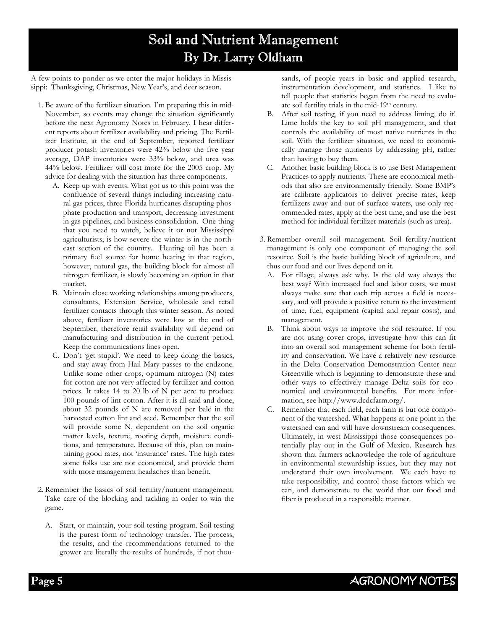# Soil and Nutrient Management By Dr. Larry Oldham

A few points to ponder as we enter the major holidays in Mississippi: Thanksgiving, Christmas, New Year's, and deer season.

- 1. Be aware of the fertilizer situation. I'm preparing this in mid-November, so events may change the situation significantly before the next Agronomy Notes in February. I hear different reports about fertilizer availability and pricing. The Fertilizer Institute, at the end of September, reported fertilizer producer potash inventories were 42% below the five year average, DAP inventories were 33% below, and urea was 44% below. Fertilizer will cost more for the 2005 crop. My advice for dealing with the situation has three components.
	- A. Keep up with events. What got us to this point was the confluence of several things including increasing natural gas prices, three Florida hurricanes disrupting phosphate production and transport, decreasing investment in gas pipelines, and business consolidation. One thing that you need to watch, believe it or not Mississippi agriculturists, is how severe the winter is in the northeast section of the country. Heating oil has been a primary fuel source for home heating in that region, however, natural gas, the building block for almost all nitrogen fertilizer, is slowly becoming an option in that market.
	- B. Maintain close working relationships among producers, consultants, Extension Service, wholesale and retail fertilizer contacts through this winter season. As noted above, fertilizer inventories were low at the end of September, therefore retail availability will depend on manufacturing and distribution in the current period. Keep the communications lines open.
	- C. Don't 'get stupid'. We need to keep doing the basics, and stay away from Hail Mary passes to the endzone. Unlike some other crops, optimum nitrogen (N) rates for cotton are not very affected by fertilizer and cotton prices. It takes 14 to 20 lb of N per acre to produce 100 pounds of lint cotton. After it is all said and done, about 32 pounds of N are removed per bale in the harvested cotton lint and seed. Remember that the soil will provide some N, dependent on the soil organic matter levels, texture, rooting depth, moisture conditions, and temperature. Because of this, plan on maintaining good rates, not 'insurance' rates. The high rates some folks use are not economical, and provide them with more management headaches than benefit.
- 2. Remember the basics of soil fertility/nutrient management. Take care of the blocking and tackling in order to win the game.
	- A. Start, or maintain, your soil testing program. Soil testing is the purest form of technology transfer. The process, the results, and the recommendations returned to the grower are literally the results of hundreds, if not thou-

sands, of people years in basic and applied research, instrumentation development, and statistics. I like to tell people that statistics began from the need to evaluate soil fertility trials in the mid-19th century.

- B. After soil testing, if you need to address liming, do it! Lime holds the key to soil pH management, and that controls the availability of most native nutrients in the soil. With the fertilizer situation, we need to economically manage those nutrients by addressing pH, rather than having to buy them.
- C. Another basic building block is to use Best Management Practices to apply nutrients. These are economical methods that also are environmentally friendly. Some BMP's are calibrate applicators to deliver precise rates, keep fertilizers away and out of surface waters, use only recommended rates, apply at the best time, and use the best method for individual fertilizer materials (such as urea).
- 3. Remember overall soil management. Soil fertility/nutrient management is only one component of managing the soil resource. Soil is the basic building block of agriculture, and thus our food and our lives depend on it.
	- A. For tillage, always ask why. Is the old way always the best way? With increased fuel and labor costs, we must always make sure that each trip across a field is necessary, and will provide a positive return to the investment of time, fuel, equipment (capital and repair costs), and management.
	- B. Think about ways to improve the soil resource. If you are not using cover crops, investigate how this can fit into an overall soil management scheme for both fertility and conservation. We have a relatively new resource in the Delta Conservation Demonstration Center near Greenville which is beginning to demonstrate these and other ways to effectively manage Delta soils for economical and environmental benefits. For more information, see http://www.dcdcfarm.org/.
	- C. Remember that each field, each farm is but one component of the watershed. What happens at one point in the watershed can and will have downstream consequences. Ultimately, in west Mississippi those consequences potentially play out in the Gulf of Mexico. Research has shown that farmers acknowledge the role of agriculture in environmental stewardship issues, but they may not understand their own involvement. We each have to take responsibility, and control those factors which we can, and demonstrate to the world that our food and fiber is produced in a responsible manner.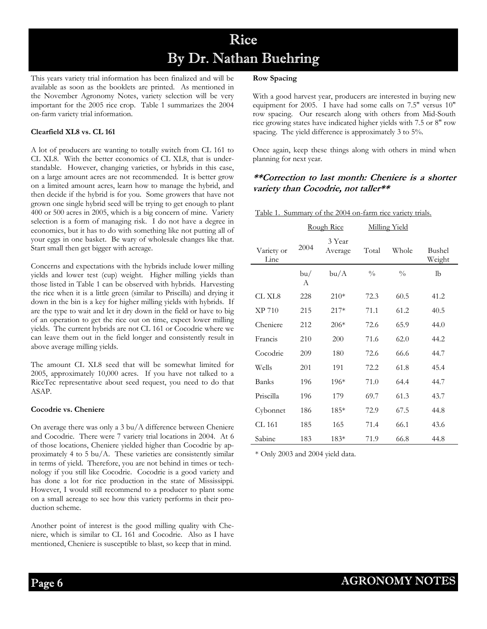## Rice By Dr. Nathan Buehring

This years variety trial information has been finalized and will be available as soon as the booklets are printed. As mentioned in the November Agronomy Notes, variety selection will be very important for the 2005 rice crop. Table 1 summarizes the 2004 on-farm variety trial information.

#### **Clearfield XL8 vs. CL 161**

A lot of producers are wanting to totally switch from CL 161 to CL XL8. With the better economics of CL XL8, that is understandable. However, changing varieties, or hybrids in this case, on a large amount acres are not recommended. It is better grow on a limited amount acres, learn how to manage the hybrid, and then decide if the hybrid is for you. Some growers that have not grown one single hybrid seed will be trying to get enough to plant 400 or 500 acres in 2005, which is a big concern of mine. Variety selection is a form of managing risk. I do not have a degree in economics, but it has to do with something like not putting all of your eggs in one basket. Be wary of wholesale changes like that. Start small then get bigger with acreage.

Concerns and expectations with the hybrids include lower milling yields and lower test (cup) weight. Higher milling yields than those listed in Table 1 can be observed with hybrids. Harvesting the rice when it is a little green (similar to Priscilla) and drying it down in the bin is a key for higher milling yields with hybrids. If are the type to wait and let it dry down in the field or have to big of an operation to get the rice out on time, expect lower milling yields. The current hybrids are not CL 161 or Cocodrie where we can leave them out in the field longer and consistently result in above average milling yields.

The amount CL XL8 seed that will be somewhat limited for 2005, approximately 10,000 acres. If you have not talked to a RiceTec representative about seed request, you need to do that ASAP.

#### **Cocodrie vs. Cheniere**

On average there was only a 3 bu/A difference between Cheniere and Cocodrie. There were 7 variety trial locations in 2004. At 6 of those locations, Cheniere yielded higher than Cocodrie by approximately 4 to 5 bu/A. These varieties are consistently similar in terms of yield. Therefore, you are not behind in times or technology if you still like Cocodrie. Cocodrie is a good variety and has done a lot for rice production in the state of Mississippi. However, I would still recommend to a producer to plant some on a small acreage to see how this variety performs in their production scheme.

Another point of interest is the good milling quality with Cheniere, which is similar to CL 161 and Cocodrie. Also as I have mentioned, Cheniere is susceptible to blast, so keep that in mind.

#### **Row Spacing**

With a good harvest year, producers are interested in buying new equipment for 2005. I have had some calls on 7.5" versus 10" row spacing. Our research along with others from Mid-South rice growing states have indicated higher yields with 7.5 or 8" row spacing. The yield difference is approximately 3 to 5%.

Once again, keep these things along with others in mind when planning for next year.

#### **\*\*Correction to last month: Cheniere is a shorter variety than Cocodrie, not taller\*\***

#### Table 1. Summary of the 2004 on-farm rice variety trials.

|                    | Rough Rice |                   | <b>Milling Yield</b> |               |                  |
|--------------------|------------|-------------------|----------------------|---------------|------------------|
| Variety or<br>Line | 2004       | 3 Year<br>Average | Total                | Whole         | Bushel<br>Weight |
|                    | bu/<br>A   | bu/A              | $\frac{0}{0}$        | $\frac{0}{0}$ | lb               |
| CL XL8             | 228        | $210*$            | 72.3                 | 60.5          | 41.2             |
| XP 710             | 215        | $217*$            | 71.1                 | 61.2          | 40.5             |
| Cheniere           | 212        | $206*$            | 72.6                 | 65.9          | 44.0             |
| Francis            | 210        | 200               | 71.6                 | 62.0          | 44.2             |
| Cocodrie           | 209        | 180               | 72.6                 | 66.6          | 44.7             |
| Wells              | 201        | 191               | 72.2                 | 61.8          | 45.4             |
| <b>Banks</b>       | 196        | $196*$            | 71.0                 | 64.4          | 44.7             |
| Priscilla          | 196        | 179               | 69.7                 | 61.3          | 43.7             |
| Cybonnet           | 186        | 185*              | 72.9                 | 67.5          | 44.8             |
| CL 161             | 185        | 165               | 71.4                 | 66.1          | 43.6             |
| Sabine             | 183        | 183*              | 71.9                 | 66.8          | 44.8             |

\* Only 2003 and 2004 yield data.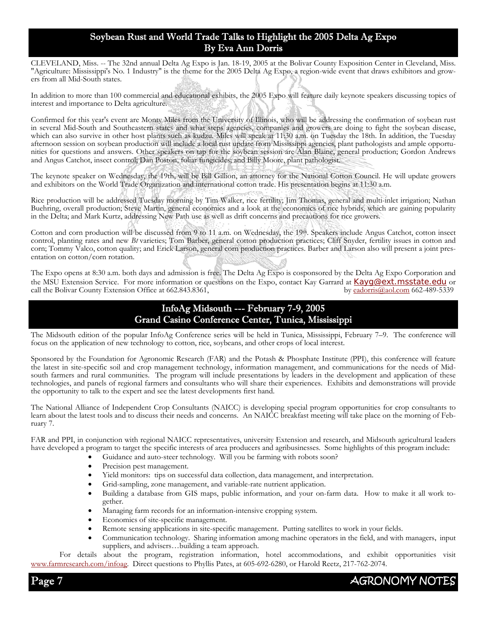### Soybean Rust and World Trade Talks to Highlight the 2005 Delta Ag Expo By Eva Ann Dorris

CLEVELAND, Miss. -- The 32nd annual Delta Ag Expo is Jan. 18-19, 2005 at the Bolivar County Exposition Center in Cleveland, Miss. "Agriculture: Mississippi's No. 1 Industry" is the theme for the 2005 Delta Ag Expo, a region-wide event that draws exhibitors and growers from all Mid-South states.

In addition to more than 100 commercial and educational exhibits, the 2005 Expo will feature daily keynote speakers discussing topics of interest and importance to Delta agriculture.

Confirmed for this year's event are Monty Miles from the University of Illinois, who will be addressing the confirmation of soybean rust in several Mid-South and Southeastern states and what steps agencies, companies and growers are doing to fight the soybean disease, which can also survive in other host plants such as kudzu. Miles will speak at 11:30 a.m. on Tuesday the 18th. In addition, the Tuesday afternoon session on soybean production will include a local rust update from Mississippi agencies, plant pathologists and ample opportunities for questions and answers. Other speakers on tap for the soybean session are Alan Blaine, general production; Gordon Andrews and Angus Catchot, insect control; Dan Poston, foliar fungicides; and Billy Moore, plant pathologist.

The keynote speaker on Wednesday, the 19th, will be Bill Gillion, an attorney for the National Cotton Council. He will update growers and exhibitors on the World Trade Organization and international cotton trade. His presentation begins at 11:30 a.m.

Rice production will be addressed Tuesday morning by Tim Walker, rice fertility; Jim Thomas, general and multi-inlet irrigation; Nathan Buehring, overall production; Steve Martin, general economics and a look at the economics of rice hybrids, which are gaining popularity in the Delta; and Mark Kurtz, addressing New Path use as well as drift concerns and precautions for rice growers.

Cotton and corn production will be discussed from 9 to 11 a.m. on Wednesday, the 19th. Speakers include Angus Catchot, cotton insect control, planting rates and new *Bt* varieties; Tom Barber, general cotton production practices; Cliff Snyder, fertility issues in cotton and corn; Tommy Valco, cotton quality; and Erick Larson, general corn production practices. Barber and Larson also will present a joint presentation on cotton/corn rotation.

The Expo opens at 8:30 a.m. both days and admission is free. The Delta Ag Expo is cosponsored by the Delta Ag Expo Corporation and the MSU Extension Service. For more information or questions on the Expo, contact Kay Garrard at **Kayg@ext.msstate.edu** or call the Bolivar County Extension Office at 662.843.8361, call the Bolivar County Extension Office at 662.843.8361,

## InfoAg Midsouth --- February 7-9, 2005 Grand Casino Conference Center, Tunica, Mississippi

The Midsouth edition of the popular InfoAg Conference series will be held in Tunica, Mississippi, February 7–9. The conference will focus on the application of new technology to cotton, rice, soybeans, and other crops of local interest.

Sponsored by the Foundation for Agronomic Research (FAR) and the Potash & Phosphate Institute (PPI), this conference will feature the latest in site-specific soil and crop management technology, information management, and communications for the needs of Midsouth farmers and rural communities. The program will include presentations by leaders in the development and application of these technologies, and panels of regional farmers and consultants who will share their experiences. Exhibits and demonstrations will provide the opportunity to talk to the expert and see the latest developments first hand.

The National Alliance of Independent Crop Consultants (NAICC) is developing special program opportunities for crop consultants to learn about the latest tools and to discuss their needs and concerns. An NAICC breakfast meeting will take place on the morning of February 7.

FAR and PPI, in conjunction with regional NAICC representatives, university Extension and research, and Midsouth agricultural leaders have developed a program to target the specific interests of area producers and agribusinesses. Some highlights of this program include:

- Guidance and auto-steer technology. Will you be farming with robots soon?
- Precision pest management.
- Yield monitors: tips on successful data collection, data management, and interpretation.
- Grid-sampling, zone management, and variable-rate nutrient application.
- Building a database from GIS maps, public information, and your on-farm data. How to make it all work together.
- Managing farm records for an information-intensive cropping system.
- Economics of site-specific management.
- Remote sensing applications in site-specific management. Putting satellites to work in your fields.
- Communication technology. Sharing information among machine operators in the field, and with managers, input suppliers, and advisers...building a team approach.

 For details about the program, registration information, hotel accommodations, and exhibit opportunities visit www.farmresearch.com/infoag. Direct questions to Phyllis Pates, at 605-692-6280, or Harold Reetz, 217-762-2074.